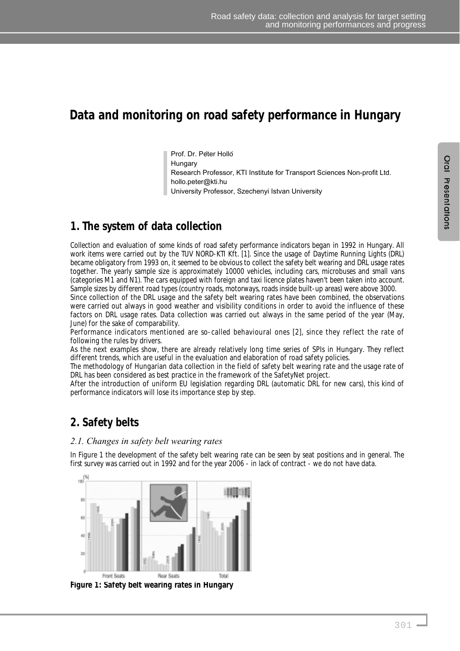# **Data and monitoring on road safety performance in Hungary**

Prof. Dr. Peter Holló Hungary Research Professor, KTI Institute for Transport Sciences Non-profit Ltd. hollo.peter@kti.hu University Professor, Szechenyi Istvan University

## **1. The system of data collection**

Collection and evaluation of some kinds of road safety performance indicators began in 1992 in Hungary. All work items were carried out by the TUV NORD-KTI Kft. [1]. Since the usage of Daytime Running Lights (DRL) became obligatory from 1993 on, it seemed to be obvious to collect the safety belt wearing and DRL usage rates together. The yearly sample size is approximately 10000 vehicles, including cars, microbuses and small vans (categories M1 and N1). The cars equipped with foreign and taxi licence plates haven't been taken into account. Sample sizes by different road types (country roads, motorways, roads inside built-up areas) were above 3000.

Since collection of the DRL usage and the safety belt wearing rates have been combined, the observations were carried out always in good weather and visibility conditions in order to avoid the influence of these factors on DRL usage rates. Data collection was carried out always in the same period of the year (May, June) for the sake of comparability.

Performance indicators mentioned are so-called behavioural ones [2], since they reflect the rate of following the rules by drivers.

As the next examples show, there are already relatively long time series of SPIs in Hungary. They reflect different trends, which are useful in the evaluation and elaboration of road safety policies.

The methodology of Hungarian data collection in the field of safety belt wearing rate and the usage rate of DRL has been considered as best practice in the framework of the SafetyNet project.

After the introduction of uniform EU legislation regarding DRL (automatic DRL for new cars), this kind of performance indicators will lose its importance step by step.

## **2. Safety belts**

#### *2.1. Changes in safety belt wearing rates*

In Figure 1 the development of the safety belt wearing rate can be seen by seat positions and in general. The first survey was carried out in 1992 and for the year 2006 - in lack of contract - we do not have data.



**Figure 1: Safety belt wearing rates in Hungary**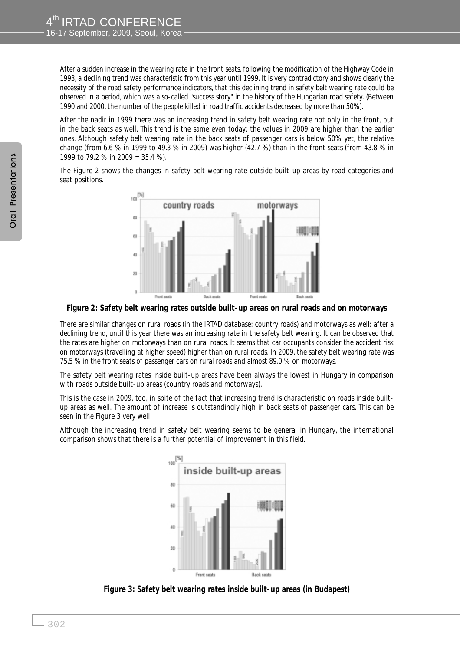After a sudden increase in the wearing rate in the front seats, following the modification of the Highway Code in 1993, a declining trend was characteristic from this year until 1999. It is very contradictory and shows clearly the necessity of the road safety performance indicators, that this declining trend in safety belt wearing rate could be observed in a period, which was a so-called "success story" in the history of the Hungarian road safety. (Between 1990 and 2000, the number of the people killed in road traffic accidents decreased by more than 50%).

After the nadir in 1999 there was an increasing trend in safety belt wearing rate not only in the front, but in the back seats as well. This trend is the same even today; the values in 2009 are higher than the earlier ones. Although safety belt wearing rate in the back seats of passenger cars is below 50% yet, the relative change (from 6.6 % in 1999 to 49.3 % in 2009) was higher (42.7 %) than in the front seats (from 43.8 % in 1999 to 79.2 % in 2009 = 35.4 %).

The Figure 2 shows the changes in safety belt wearing rate outside built-up areas by road categories and seat positions.



**Figure 2: Safety belt wearing rates outside built-up areas on rural roads and on motorways**

There are similar changes on rural roads (in the IRTAD database: country roads) and motorways as well: after a declining trend, until this year there was an increasing rate in the safety belt wearing. It can be observed that the rates are higher on motorways than on rural roads. It seems that car occupants consider the accident risk on motorways (travelling at higher speed) higher than on rural roads. In 2009, the safety belt wearing rate was 75.5 % in the front seats of passenger cars on rural roads and almost 89.0 % on motorways.

The safety belt wearing rates inside built-up areas have been always the lowest in Hungary in comparison with roads outside built-up areas (country roads and motorways).

This is the case in 2009, too, in spite of the fact that increasing trend is characteristic on roads inside builtup areas as well. The amount of increase is outstandingly high in back seats of passenger cars. This can be seen in the Figure 3 very well.

Although the increasing trend in safety belt wearing seems to be general in Hungary, the international comparison shows that there is a further potential of improvement in this field.



**Figure 3: Safety belt wearing rates inside built-up areas (in Budapest)**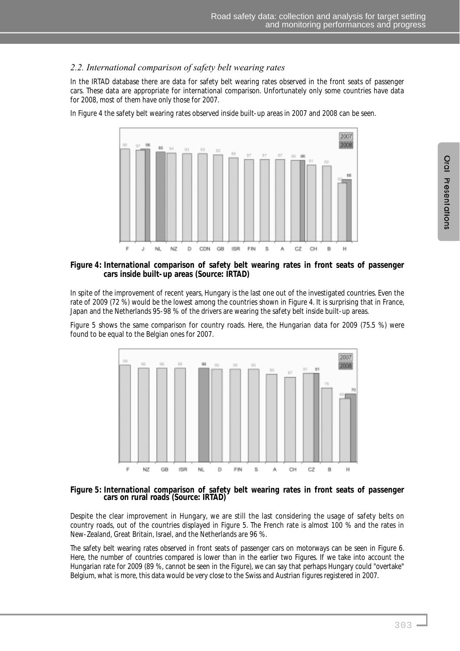#### *2.2. International comparison of safety belt wearing rates*

In the IRTAD database there are data for safety belt wearing rates observed in the front seats of passenger cars. These data are appropriate for international comparison. Unfortunately only some countries have data for 2008, most of them have only those for 2007.

In Figure 4 the safety belt wearing rates observed inside built-up areas in 2007 and 2008 can be seen.



#### **Figure 4: International comparison of safety belt wearing rates in front seats of passenger cars inside built-up areas (Source: IRTAD)**

In spite of the improvement of recent years, Hungary is the last one out of the investigated countries. Even the rate of 2009 (72 %) would be the lowest among the countries shown in Figure 4. It is surprising that in France, Japan and the Netherlands 95-98 % of the drivers are wearing the safety belt inside built-up areas.

Figure 5 shows the same comparison for country roads. Here, the Hungarian data for 2009 (75.5 %) were found to be equal to the Belgian ones for 2007.



**Figure 5: International comparison of safety belt wearing rates in front seats of passenger cars on rural roads (Source: IRTAD)** 

Despite the clear improvement in Hungary, we are still the last considering the usage of safety belts on country roads, out of the countries displayed in Figure 5. The French rate is almost 100 % and the rates in New-Zealand, Great Britain, Israel, and the Netherlands are 96 %.

The safety belt wearing rates observed in front seats of passenger cars on motorways can be seen in Figure 6. Here, the number of countries compared is lower than in the earlier two Figures. If we take into account the Hungarian rate for 2009 (89 %, cannot be seen in the Figure), we can say that perhaps Hungary could "overtake" Belgium, what is more, this data would be very close to the Swiss and Austrian figures registered in 2007.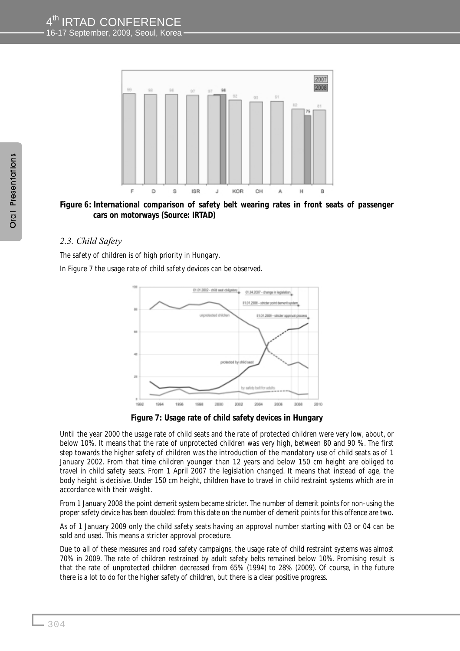

**Figure 6: International comparison of safety belt wearing rates in front seats of passenger cars on motorways (Source: IRTAD)**

#### *2.3. Child Safety*

The safety of children is of high priority in Hungary.

In Figure 7 the usage rate of child safety devices can be observed.



**Figure 7: Usage rate of child safety devices in Hungary**

Until the year 2000 the usage rate of child seats and the rate of protected children were very low, about, or below 10%. It means that the rate of unprotected children was very high, between 80 and 90 %. The first step towards the higher safety of children was the introduction of the mandatory use of child seats as of 1 January 2002. From that time children younger than 12 years and below 150 cm height are obliged to travel in child safety seats. From 1 April 2007 the legislation changed. It means that instead of age, the body height is decisive. Under 150 cm height, children have to travel in child restraint systems which are in accordance with their weight.

From 1 January 2008 the point demerit system became stricter. The number of demerit points for non-using the proper safety device has been doubled: from this date on the number of demerit points for this offence are two.

As of 1 January 2009 only the child safety seats having an approval number starting with 03 or 04 can be sold and used. This means a stricter approval procedure.

Due to all of these measures and road safety campaigns, the usage rate of child restraint systems was almost 70% in 2009. The rate of children restrained by adult safety belts remained below 10%. Promising result is that the rate of unprotected children decreased from 65% (1994) to 28% (2009). Of course, in the future there is a lot to do for the higher safety of children, but there is a clear positive progress.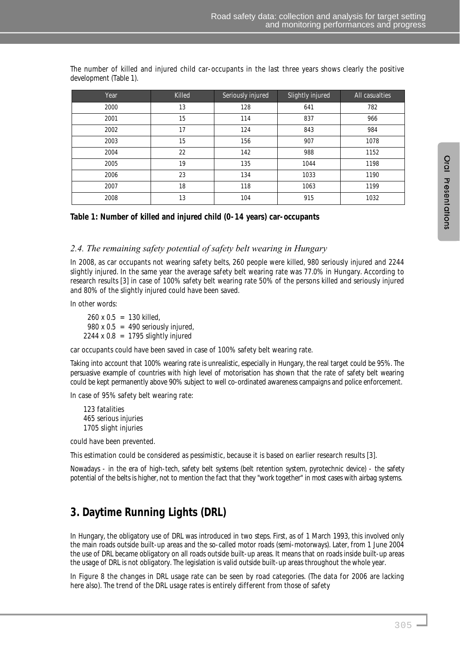| Year | Killed | Seriously injured | Slightly injured | All casualties |
|------|--------|-------------------|------------------|----------------|
| 2000 | 13     | 128               | 641              | 782            |
| 2001 | 15     | 114               | 837              | 966            |
| 2002 | 17     | 124               | 843              | 984            |
| 2003 | 15     | 156               | 907              | 1078           |
| 2004 | 22     | 142               | 988              | 1152           |
| 2005 | 19     | 135               | 1044             | 1198           |
| 2006 | 23     | 134               | 1033             | 1190           |
| 2007 | 18     | 118               | 1063             | 1199           |
| 2008 | 13     | 104               | 915              | 1032           |

The number of killed and injured child car-occupants in the last three years shows clearly the positive development (Table 1).

#### **Table 1: Number of killed and injured child (0-14 years) car-occupants**

#### *2.4. The remaining safety potential of safety belt wearing in Hungary*

In 2008, as car occupants not wearing safety belts, 260 people were killed, 980 seriously injured and 2244 slightly injured. In the same year the average safety belt wearing rate was 77.0% in Hungary. According to research results [3] in case of 100% safety belt wearing rate 50% of the persons killed and seriously injured and 80% of the slightly injured could have been saved.

In other words:

 $260 \times 0.5 = 130$  killed. 980 x 0.5 = 490 seriously injured,  $2244 \times 0.8$  = 1795 slightly injured

car occupants could have been saved in case of 100% safety belt wearing rate.

Taking into account that 100% wearing rate is unrealistic, especially in Hungary, the real target could be 95%. The persuasive example of countries with high level of motorisation has shown that the rate of safety belt wearing could be kept permanently above 90% subject to well co-ordinated awareness campaigns and police enforcement.

In case of 95% safety belt wearing rate:

123 fatalities 465 serious injuries 1705 slight injuries

could have been prevented.

This estimation could be considered as pessimistic, because it is based on earlier research results [3].

Nowadays - in the era of high-tech, safety belt systems (belt retention system, pyrotechnic device) - the safety potential of the belts is higher, not to mention the fact that they "work together" in most cases with airbag systems.

## **3. Daytime Running Lights (DRL)**

In Hungary, the obligatory use of DRL was introduced in two steps. First, as of 1 March 1993, this involved only the main roads outside built-up areas and the so-called motor roads (semi-motorways). Later, from 1 June 2004 the use of DRL became obligatory on all roads outside built-up areas. It means that on roads inside built-up areas the usage of DRL is not obligatory. The legislation is valid outside built-up areas throughout the whole year.

In Figure 8 the changes in DRL usage rate can be seen by road categories. (The data for 2006 are lacking here also). The trend of the DRL usage rates is entirely different from those of safety